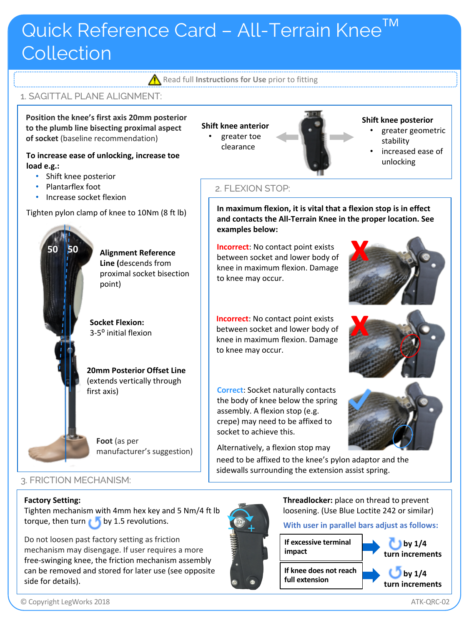# Quick Reference Card - All-Terrain Knee<sup>™</sup> **Collection**

**Read full Instructions for Use** prior to fitting

**Shift knee anterior** • greater toe clearance

2. FLEXION STOP:

**examples below:**

to knee may occur.

to knee may occur.

socket to achieve this.

**Incorrect**: No contact point exists between socket and lower body of knee in maximum flexion. Damage

**Incorrect**: No contact point exists between socket and lower body of knee in maximum flexion. Damage

**Correct**: Socket naturally contacts the body of knee below the spring assembly. A flexion stop (e.g. crepe) may need to be affixed to

Alternatively, a flexion stop may

**In maximum flexion, it is vital that a flexion stop is in effect and contacts the All-Terrain Knee in the proper location. See** 

## 1. SAGITTAL PLANE ALIGNMENT:

**Position the knee's first axis 20mm posterior to the plumb line bisecting proximal aspect of socket** (baseline recommendation)

**To increase ease of unlocking, increase toe load e.g.:**

- Shift knee posterior
- Plantarflex foot

**50 50**

• Increase socket flexion

Tighten pylon clamp of knee to 10Nm (8 ft lb)

**Alignment Reference Line (**descends from proximal socket bisection point)

**Socket Flexion:**  3-5<sup>o</sup> initial flexion

**20mm Posterior Offset Line**  (extends vertically through first axis)

**Foot** (as per manufacturer's suggestion)

### 3. FRICTION MECHANISM:

#### **Factory Setting:**

Tighten mechanism with 4mm hex key and 5 Nm/4 ft lb torque, then turn  $\bullet$  by 1.5 revolutions.

Do not loosen past factory setting as friction mechanism may disengage. If user requires a more free-swinging knee, the friction mechanism assembly can be removed and stored for later use (see opposite side for details).



**impact**

need to be affixed to the knee's pylon adaptor and the sidewalls surrounding the extension assist spring.

> **Threadlocker:** place on thread to prevent loosening. (Use Blue Loctite 242 or similar)

**With user in parallel bars adjust as follows:**



**by 1/4 turn increments**



**Shift knee posterior** 

stability

• greater geometric

• increased ease of unlocking